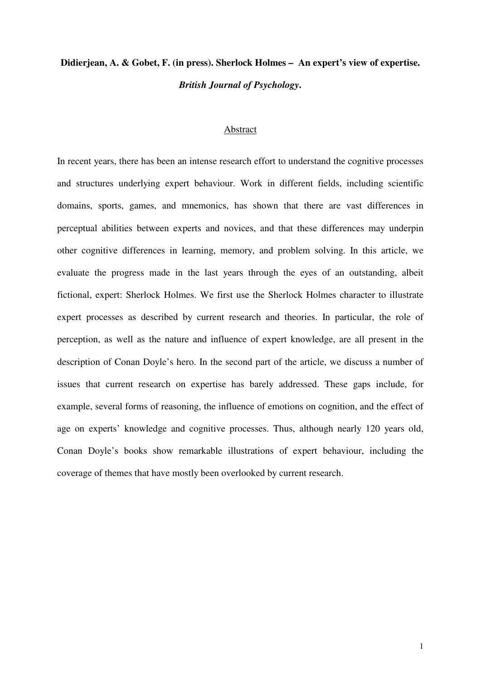# **Didierjean, A. & Gobet, F. (in press). Sherlock Holmes – An expert's view of expertise.**  *British Journal of Psychology***.**

## Abstract

In recent years, there has been an intense research effort to understand the cognitive processes and structures underlying expert behaviour. Work in different fields, including scientific domains, sports, games, and mnemonics, has shown that there are vast differences in perceptual abilities between experts and novices, and that these differences may underpin other cognitive differences in learning, memory, and problem solving. In this article, we evaluate the progress made in the last years through the eyes of an outstanding, albeit fictional, expert: Sherlock Holmes. We first use the Sherlock Holmes character to illustrate expert processes as described by current research and theories. In particular, the role of perception, as well as the nature and influence of expert knowledge, are all present in the description of Conan Doyle's hero. In the second part of the article, we discuss a number of issues that current research on expertise has barely addressed. These gaps include, for example, several forms of reasoning, the influence of emotions on cognition, and the effect of age on experts' knowledge and cognitive processes. Thus, although nearly 120 years old, Conan Doyle's books show remarkable illustrations of expert behaviour, including the coverage of themes that have mostly been overlooked by current research.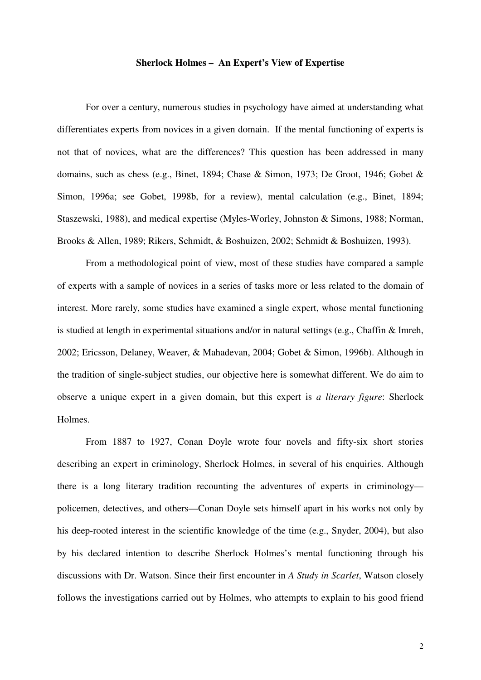#### **Sherlock Holmes – An Expert's View of Expertise**

For over a century, numerous studies in psychology have aimed at understanding what differentiates experts from novices in a given domain. If the mental functioning of experts is not that of novices, what are the differences? This question has been addressed in many domains, such as chess (e.g., Binet, 1894; Chase & Simon, 1973; De Groot, 1946; Gobet & Simon, 1996a; see Gobet, 1998b, for a review), mental calculation (e.g., Binet, 1894; Staszewski, 1988), and medical expertise (Myles-Worley, Johnston & Simons, 1988; Norman, Brooks & Allen, 1989; Rikers, Schmidt, & Boshuizen, 2002; Schmidt & Boshuizen, 1993).

From a methodological point of view, most of these studies have compared a sample of experts with a sample of novices in a series of tasks more or less related to the domain of interest. More rarely, some studies have examined a single expert, whose mental functioning is studied at length in experimental situations and/or in natural settings (e.g., Chaffin & Imreh, 2002; Ericsson, Delaney, Weaver, & Mahadevan, 2004; Gobet & Simon, 1996b). Although in the tradition of single-subject studies, our objective here is somewhat different. We do aim to observe a unique expert in a given domain, but this expert is *a literary figure*: Sherlock Holmes.

From 1887 to 1927, Conan Doyle wrote four novels and fifty-six short stories describing an expert in criminology, Sherlock Holmes, in several of his enquiries. Although there is a long literary tradition recounting the adventures of experts in criminology policemen, detectives, and others—Conan Doyle sets himself apart in his works not only by his deep-rooted interest in the scientific knowledge of the time (e.g., Snyder, 2004), but also by his declared intention to describe Sherlock Holmes's mental functioning through his discussions with Dr. Watson. Since their first encounter in *A Study in Scarlet*, Watson closely follows the investigations carried out by Holmes, who attempts to explain to his good friend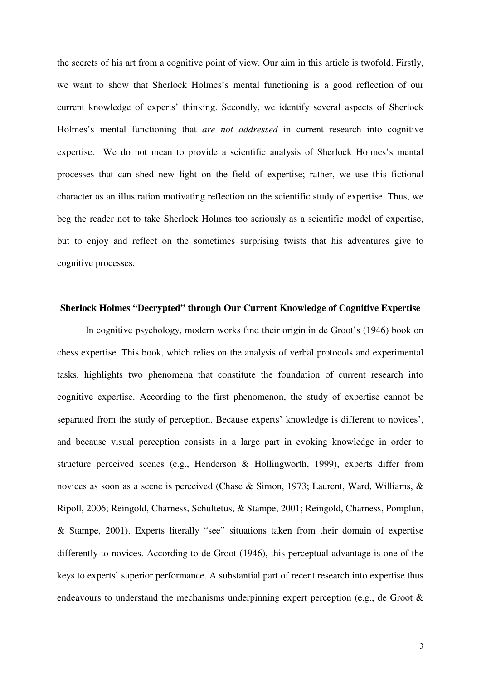the secrets of his art from a cognitive point of view. Our aim in this article is twofold. Firstly, we want to show that Sherlock Holmes's mental functioning is a good reflection of our current knowledge of experts' thinking. Secondly, we identify several aspects of Sherlock Holmes's mental functioning that *are not addressed* in current research into cognitive expertise. We do not mean to provide a scientific analysis of Sherlock Holmes's mental processes that can shed new light on the field of expertise; rather, we use this fictional character as an illustration motivating reflection on the scientific study of expertise. Thus, we beg the reader not to take Sherlock Holmes too seriously as a scientific model of expertise, but to enjoy and reflect on the sometimes surprising twists that his adventures give to cognitive processes.

# **Sherlock Holmes "Decrypted" through Our Current Knowledge of Cognitive Expertise**

In cognitive psychology, modern works find their origin in de Groot's (1946) book on chess expertise. This book, which relies on the analysis of verbal protocols and experimental tasks, highlights two phenomena that constitute the foundation of current research into cognitive expertise. According to the first phenomenon, the study of expertise cannot be separated from the study of perception. Because experts' knowledge is different to novices', and because visual perception consists in a large part in evoking knowledge in order to structure perceived scenes (e.g., Henderson & Hollingworth, 1999), experts differ from novices as soon as a scene is perceived (Chase & Simon, 1973; Laurent, Ward, Williams, & Ripoll, 2006; Reingold, Charness, Schultetus, & Stampe, 2001; Reingold, Charness, Pomplun, & Stampe, 2001). Experts literally "see" situations taken from their domain of expertise differently to novices. According to de Groot (1946), this perceptual advantage is one of the keys to experts' superior performance. A substantial part of recent research into expertise thus endeavours to understand the mechanisms underpinning expert perception (e.g., de Groot &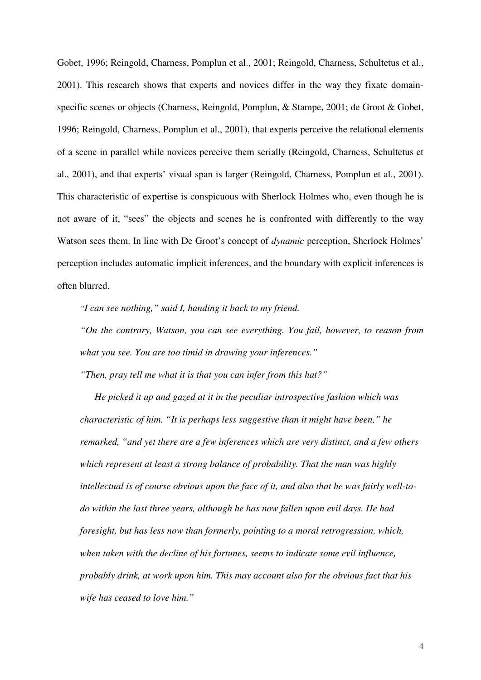Gobet, 1996; Reingold, Charness, Pomplun et al., 2001; Reingold, Charness, Schultetus et al., 2001). This research shows that experts and novices differ in the way they fixate domainspecific scenes or objects (Charness, Reingold, Pomplun, & Stampe, 2001; de Groot & Gobet, 1996; Reingold, Charness, Pomplun et al., 2001), that experts perceive the relational elements of a scene in parallel while novices perceive them serially (Reingold, Charness, Schultetus et al., 2001), and that experts' visual span is larger (Reingold, Charness, Pomplun et al., 2001). This characteristic of expertise is conspicuous with Sherlock Holmes who, even though he is not aware of it, "sees" the objects and scenes he is confronted with differently to the way Watson sees them. In line with De Groot's concept of *dynamic* perception, Sherlock Holmes' perception includes automatic implicit inferences, and the boundary with explicit inferences is often blurred.

*"I can see nothing," said I, handing it back to my friend.* 

*"On the contrary, Watson, you can see everything. You fail, however, to reason from what you see. You are too timid in drawing your inferences."* 

*"Then, pray tell me what it is that you can infer from this hat?"* 

*He picked it up and gazed at it in the peculiar introspective fashion which was characteristic of him. "It is perhaps less suggestive than it might have been," he remarked, "and yet there are a few inferences which are very distinct, and a few others which represent at least a strong balance of probability. That the man was highly intellectual is of course obvious upon the face of it, and also that he was fairly well-todo within the last three years, although he has now fallen upon evil days. He had foresight, but has less now than formerly, pointing to a moral retrogression, which, when taken with the decline of his fortunes, seems to indicate some evil influence, probably drink, at work upon him. This may account also for the obvious fact that his wife has ceased to love him."*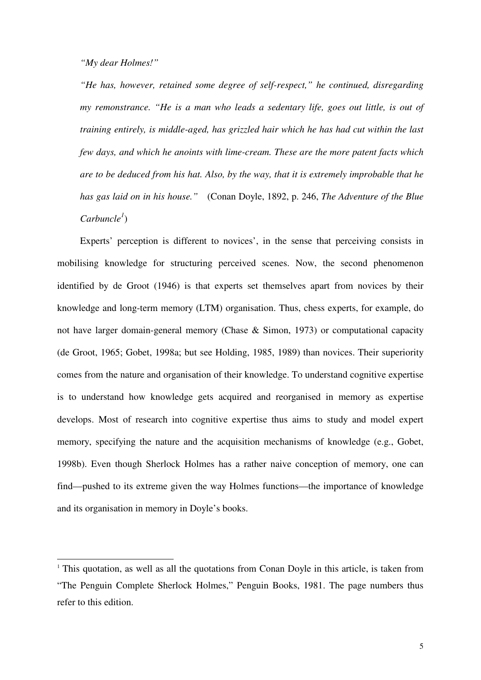*"My dear Holmes!"* 

-

*"He has, however, retained some degree of self-respect," he continued, disregarding my remonstrance. "He is a man who leads a sedentary life, goes out little, is out of training entirely, is middle-aged, has grizzled hair which he has had cut within the last few days, and which he anoints with lime-cream. These are the more patent facts which are to be deduced from his hat. Also, by the way, that it is extremely improbable that he has gas laid on in his house."* (Conan Doyle, 1892, p. 246, *The Adventure of the Blue Carbuncle<sup>1</sup>* )

Experts' perception is different to novices', in the sense that perceiving consists in mobilising knowledge for structuring perceived scenes. Now, the second phenomenon identified by de Groot (1946) is that experts set themselves apart from novices by their knowledge and long-term memory (LTM) organisation. Thus, chess experts, for example, do not have larger domain-general memory (Chase & Simon, 1973) or computational capacity (de Groot, 1965; Gobet, 1998a; but see Holding, 1985, 1989) than novices. Their superiority comes from the nature and organisation of their knowledge. To understand cognitive expertise is to understand how knowledge gets acquired and reorganised in memory as expertise develops. Most of research into cognitive expertise thus aims to study and model expert memory, specifying the nature and the acquisition mechanisms of knowledge (e.g., Gobet, 1998b). Even though Sherlock Holmes has a rather naive conception of memory, one can find—pushed to its extreme given the way Holmes functions—the importance of knowledge and its organisation in memory in Doyle's books.

 $1$ <sup>1</sup> This quotation, as well as all the quotations from Conan Doyle in this article, is taken from "The Penguin Complete Sherlock Holmes," Penguin Books, 1981. The page numbers thus refer to this edition.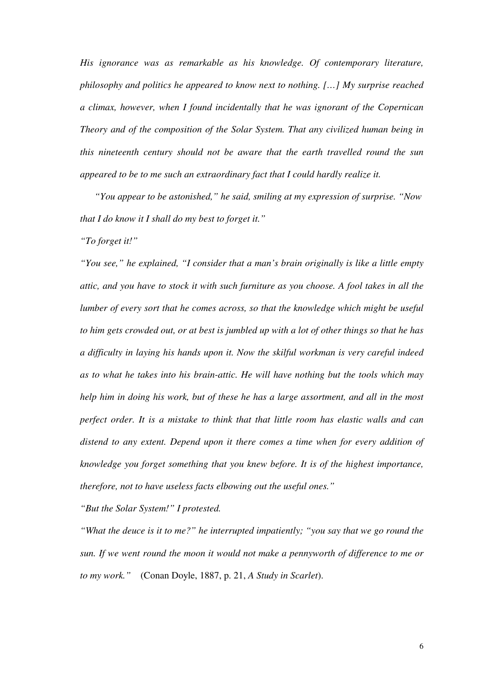*His ignorance was as remarkable as his knowledge. Of contemporary literature, philosophy and politics he appeared to know next to nothing. […] My surprise reached a climax, however, when I found incidentally that he was ignorant of the Copernican Theory and of the composition of the Solar System. That any civilized human being in this nineteenth century should not be aware that the earth travelled round the sun appeared to be to me such an extraordinary fact that I could hardly realize it.* 

*"You appear to be astonished," he said, smiling at my expression of surprise. "Now that I do know it I shall do my best to forget it."* 

*"To forget it!"* 

*"You see," he explained, "I consider that a man's brain originally is like a little empty attic, and you have to stock it with such furniture as you choose. A fool takes in all the lumber of every sort that he comes across, so that the knowledge which might be useful to him gets crowded out, or at best is jumbled up with a lot of other things so that he has a difficulty in laying his hands upon it. Now the skilful workman is very careful indeed as to what he takes into his brain-attic. He will have nothing but the tools which may help him in doing his work, but of these he has a large assortment, and all in the most perfect order. It is a mistake to think that that little room has elastic walls and can distend to any extent. Depend upon it there comes a time when for every addition of knowledge you forget something that you knew before. It is of the highest importance, therefore, not to have useless facts elbowing out the useful ones."* 

*"But the Solar System!" I protested.* 

*"What the deuce is it to me?" he interrupted impatiently; "you say that we go round the sun. If we went round the moon it would not make a pennyworth of difference to me or to my work."* (Conan Doyle, 1887, p. 21, *A Study in Scarlet*).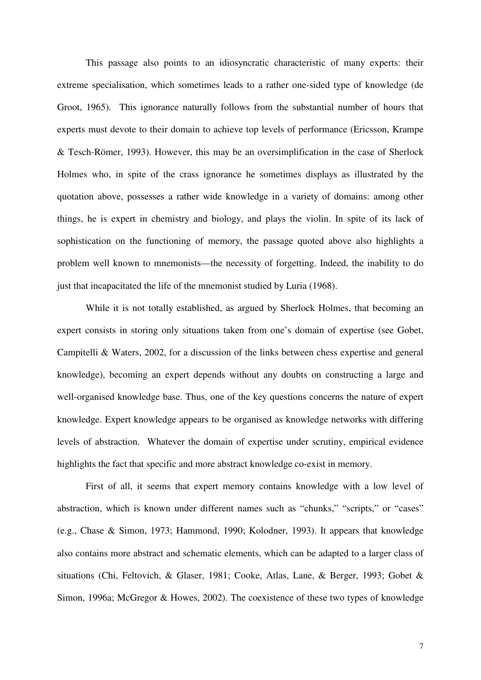This passage also points to an idiosyncratic characteristic of many experts: their extreme specialisation, which sometimes leads to a rather one-sided type of knowledge (de Groot, 1965). This ignorance naturally follows from the substantial number of hours that experts must devote to their domain to achieve top levels of performance (Ericsson, Krampe & Tesch-Römer, 1993). However, this may be an oversimplification in the case of Sherlock Holmes who, in spite of the crass ignorance he sometimes displays as illustrated by the quotation above, possesses a rather wide knowledge in a variety of domains: among other things, he is expert in chemistry and biology, and plays the violin. In spite of its lack of sophistication on the functioning of memory, the passage quoted above also highlights a problem well known to mnemonists—the necessity of forgetting. Indeed, the inability to do just that incapacitated the life of the mnemonist studied by Luria (1968).

 While it is not totally established, as argued by Sherlock Holmes, that becoming an expert consists in storing only situations taken from one's domain of expertise (see Gobet, Campitelli & Waters, 2002, for a discussion of the links between chess expertise and general knowledge), becoming an expert depends without any doubts on constructing a large and well-organised knowledge base. Thus, one of the key questions concerns the nature of expert knowledge. Expert knowledge appears to be organised as knowledge networks with differing levels of abstraction. Whatever the domain of expertise under scrutiny, empirical evidence highlights the fact that specific and more abstract knowledge co-exist in memory.

 First of all, it seems that expert memory contains knowledge with a low level of abstraction, which is known under different names such as "chunks," "scripts," or "cases" (e.g., Chase & Simon, 1973; Hammond, 1990; Kolodner, 1993). It appears that knowledge also contains more abstract and schematic elements, which can be adapted to a larger class of situations (Chi, Feltovich, & Glaser, 1981; Cooke, Atlas, Lane, & Berger, 1993; Gobet & Simon, 1996a; McGregor & Howes, 2002). The coexistence of these two types of knowledge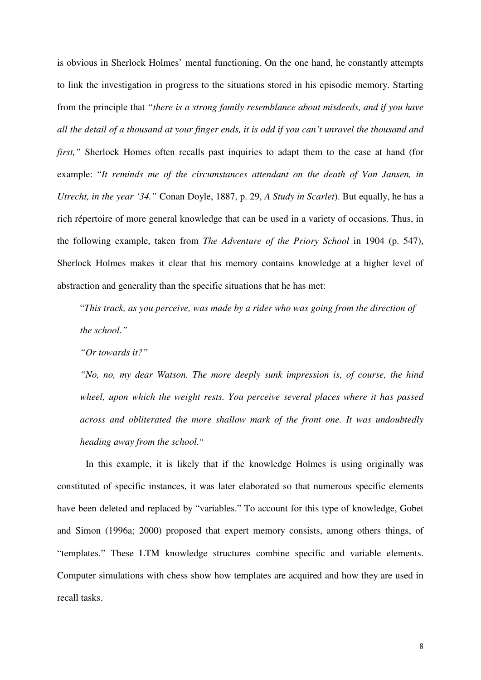is obvious in Sherlock Holmes' mental functioning. On the one hand, he constantly attempts to link the investigation in progress to the situations stored in his episodic memory. Starting from the principle that *"there is a strong family resemblance about misdeeds, and if you have all the detail of a thousand at your finger ends, it is odd if you can't unravel the thousand and first*," Sherlock Homes often recalls past inquiries to adapt them to the case at hand (for example: "*It reminds me of the circumstances attendant on the death of Van Jansen, in Utrecht, in the year '34."* Conan Doyle, 1887, p. 29, *A Study in Scarlet*). But equally, he has a rich répertoire of more general knowledge that can be used in a variety of occasions. Thus, in the following example, taken from *The Adventure of the Priory School* in 1904 (p. 547), Sherlock Holmes makes it clear that his memory contains knowledge at a higher level of abstraction and generality than the specific situations that he has met:

"*This track, as you perceive, was made by a rider who was going from the direction of the school."* 

*"Or towards it?"* 

*"No, no, my dear Watson. The more deeply sunk impression is, of course, the hind wheel, upon which the weight rests. You perceive several places where it has passed across and obliterated the more shallow mark of the front one. It was undoubtedly heading away from the school."*

In this example, it is likely that if the knowledge Holmes is using originally was constituted of specific instances, it was later elaborated so that numerous specific elements have been deleted and replaced by "variables." To account for this type of knowledge, Gobet and Simon (1996a; 2000) proposed that expert memory consists, among others things, of "templates." These LTM knowledge structures combine specific and variable elements. Computer simulations with chess show how templates are acquired and how they are used in recall tasks.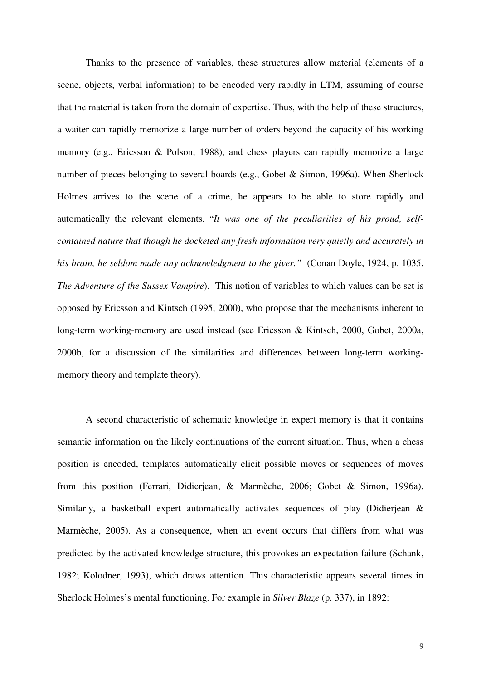Thanks to the presence of variables, these structures allow material (elements of a scene, objects, verbal information) to be encoded very rapidly in LTM, assuming of course that the material is taken from the domain of expertise. Thus, with the help of these structures, a waiter can rapidly memorize a large number of orders beyond the capacity of his working memory (e.g., Ericsson & Polson, 1988), and chess players can rapidly memorize a large number of pieces belonging to several boards (e.g., Gobet & Simon, 1996a). When Sherlock Holmes arrives to the scene of a crime, he appears to be able to store rapidly and automatically the relevant elements. "*It was one of the peculiarities of his proud, selfcontained nature that though he docketed any fresh information very quietly and accurately in his brain, he seldom made any acknowledgment to the giver."* (Conan Doyle, 1924, p. 1035, *The Adventure of the Sussex Vampire*). This notion of variables to which values can be set is opposed by Ericsson and Kintsch (1995, 2000), who propose that the mechanisms inherent to long-term working-memory are used instead (see Ericsson & Kintsch, 2000, Gobet, 2000a, 2000b, for a discussion of the similarities and differences between long-term workingmemory theory and template theory).

 A second characteristic of schematic knowledge in expert memory is that it contains semantic information on the likely continuations of the current situation. Thus, when a chess position is encoded, templates automatically elicit possible moves or sequences of moves from this position (Ferrari, Didierjean, & Marmèche, 2006; Gobet & Simon, 1996a). Similarly, a basketball expert automatically activates sequences of play (Didierjean & Marmèche, 2005). As a consequence, when an event occurs that differs from what was predicted by the activated knowledge structure, this provokes an expectation failure (Schank, 1982; Kolodner, 1993), which draws attention. This characteristic appears several times in Sherlock Holmes's mental functioning. For example in *Silver Blaze* (p. 337), in 1892: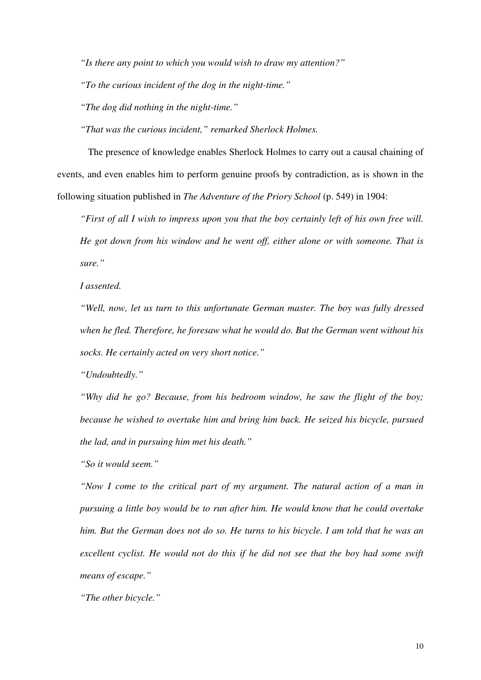*"Is there any point to which you would wish to draw my attention?"* 

*"To the curious incident of the dog in the night-time."* 

*"The dog did nothing in the night-time."* 

*"That was the curious incident," remarked Sherlock Holmes.* 

The presence of knowledge enables Sherlock Holmes to carry out a causal chaining of events, and even enables him to perform genuine proofs by contradiction, as is shown in the following situation published in *The Adventure of the Priory School* (p. 549) in 1904:

*"First of all I wish to impress upon you that the boy certainly left of his own free will. He got down from his window and he went off, either alone or with someone. That is sure."* 

*I assented.* 

*"Well, now, let us turn to this unfortunate German master. The boy was fully dressed when he fled. Therefore, he foresaw what he would do. But the German went without his socks. He certainly acted on very short notice."* 

*"Undoubtedly."* 

*"Why did he go? Because, from his bedroom window, he saw the flight of the boy; because he wished to overtake him and bring him back. He seized his bicycle, pursued the lad, and in pursuing him met his death."* 

*"So it would seem."* 

*"Now I come to the critical part of my argument. The natural action of a man in pursuing a little boy would be to run after him. He would know that he could overtake him. But the German does not do so. He turns to his bicycle. I am told that he was an excellent cyclist. He would not do this if he did not see that the boy had some swift means of escape."* 

*"The other bicycle."*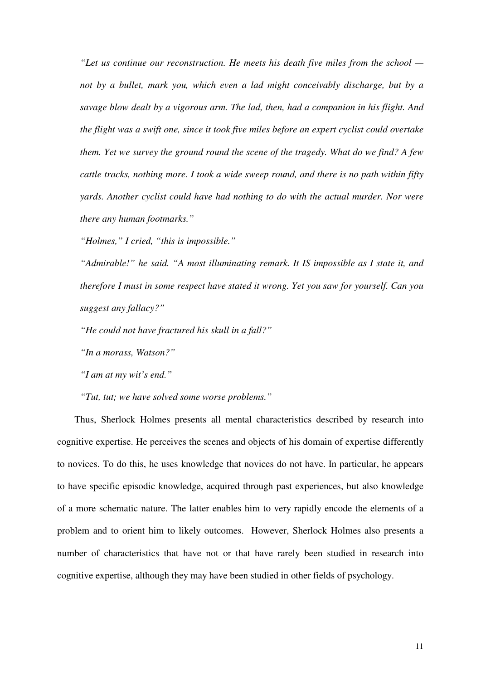*"Let us continue our reconstruction. He meets his death five miles from the school not by a bullet, mark you, which even a lad might conceivably discharge, but by a savage blow dealt by a vigorous arm. The lad, then, had a companion in his flight. And the flight was a swift one, since it took five miles before an expert cyclist could overtake them. Yet we survey the ground round the scene of the tragedy. What do we find? A few cattle tracks, nothing more. I took a wide sweep round, and there is no path within fifty yards. Another cyclist could have had nothing to do with the actual murder. Nor were there any human footmarks."* 

*"Holmes," I cried, "this is impossible."* 

*"Admirable!" he said. "A most illuminating remark. It IS impossible as I state it, and therefore I must in some respect have stated it wrong. Yet you saw for yourself. Can you suggest any fallacy?"* 

*"He could not have fractured his skull in a fall?"* 

*"In a morass, Watson?"* 

*"I am at my wit's end."* 

*"Tut, tut; we have solved some worse problems."* 

 Thus, Sherlock Holmes presents all mental characteristics described by research into cognitive expertise. He perceives the scenes and objects of his domain of expertise differently to novices. To do this, he uses knowledge that novices do not have. In particular, he appears to have specific episodic knowledge, acquired through past experiences, but also knowledge of a more schematic nature. The latter enables him to very rapidly encode the elements of a problem and to orient him to likely outcomes. However, Sherlock Holmes also presents a number of characteristics that have not or that have rarely been studied in research into cognitive expertise, although they may have been studied in other fields of psychology.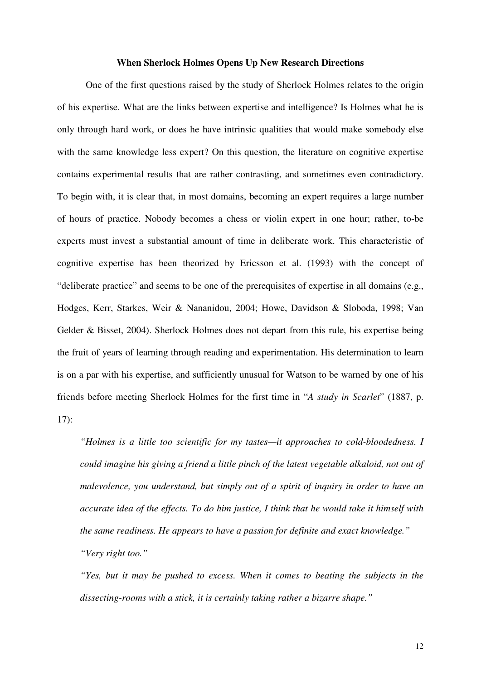#### **When Sherlock Holmes Opens Up New Research Directions**

One of the first questions raised by the study of Sherlock Holmes relates to the origin of his expertise. What are the links between expertise and intelligence? Is Holmes what he is only through hard work, or does he have intrinsic qualities that would make somebody else with the same knowledge less expert? On this question, the literature on cognitive expertise contains experimental results that are rather contrasting, and sometimes even contradictory. To begin with, it is clear that, in most domains, becoming an expert requires a large number of hours of practice. Nobody becomes a chess or violin expert in one hour; rather, to-be experts must invest a substantial amount of time in deliberate work. This characteristic of cognitive expertise has been theorized by Ericsson et al. (1993) with the concept of "deliberate practice" and seems to be one of the prerequisites of expertise in all domains (e.g., Hodges, Kerr, Starkes, Weir & Nananidou, 2004; Howe, Davidson & Sloboda, 1998; Van Gelder & Bisset, 2004). Sherlock Holmes does not depart from this rule, his expertise being the fruit of years of learning through reading and experimentation. His determination to learn is on a par with his expertise, and sufficiently unusual for Watson to be warned by one of his friends before meeting Sherlock Holmes for the first time in "*A study in Scarlet*" (1887, p. 17):

*"Holmes is a little too scientific for my tastes—it approaches to cold-bloodedness. I could imagine his giving a friend a little pinch of the latest vegetable alkaloid, not out of malevolence, you understand, but simply out of a spirit of inquiry in order to have an accurate idea of the effects. To do him justice, I think that he would take it himself with the same readiness. He appears to have a passion for definite and exact knowledge." "Very right too."* 

*"Yes, but it may be pushed to excess. When it comes to beating the subjects in the dissecting-rooms with a stick, it is certainly taking rather a bizarre shape."*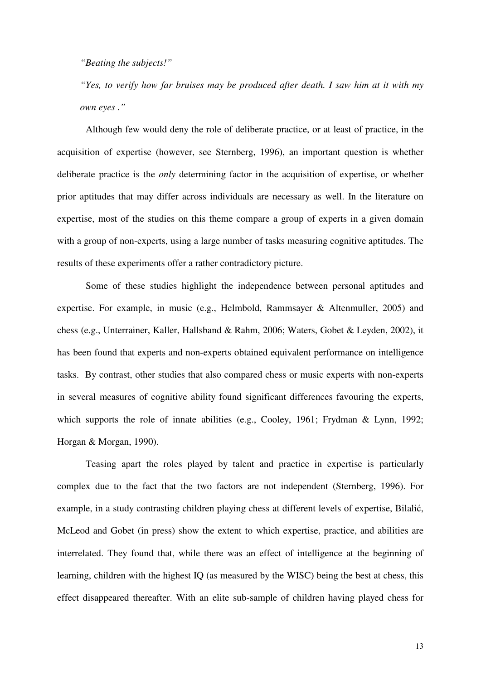*"Beating the subjects!"* 

*"Yes, to verify how far bruises may be produced after death. I saw him at it with my own eyes ."*

Although few would deny the role of deliberate practice, or at least of practice, in the acquisition of expertise (however, see Sternberg, 1996), an important question is whether deliberate practice is the *only* determining factor in the acquisition of expertise, or whether prior aptitudes that may differ across individuals are necessary as well. In the literature on expertise, most of the studies on this theme compare a group of experts in a given domain with a group of non-experts, using a large number of tasks measuring cognitive aptitudes. The results of these experiments offer a rather contradictory picture.

Some of these studies highlight the independence between personal aptitudes and expertise. For example, in music (e.g., Helmbold, Rammsayer & Altenmuller, 2005) and chess (e.g., Unterrainer, Kaller, Hallsband & Rahm, 2006; Waters, Gobet & Leyden, 2002), it has been found that experts and non-experts obtained equivalent performance on intelligence tasks. By contrast, other studies that also compared chess or music experts with non-experts in several measures of cognitive ability found significant differences favouring the experts, which supports the role of innate abilities (e.g., Cooley, 1961; Frydman & Lynn, 1992; Horgan & Morgan, 1990).

Teasing apart the roles played by talent and practice in expertise is particularly complex due to the fact that the two factors are not independent (Sternberg, 1996). For example, in a study contrasting children playing chess at different levels of expertise, Bilalić, McLeod and Gobet (in press) show the extent to which expertise, practice, and abilities are interrelated. They found that, while there was an effect of intelligence at the beginning of learning, children with the highest IQ (as measured by the WISC) being the best at chess, this effect disappeared thereafter. With an elite sub-sample of children having played chess for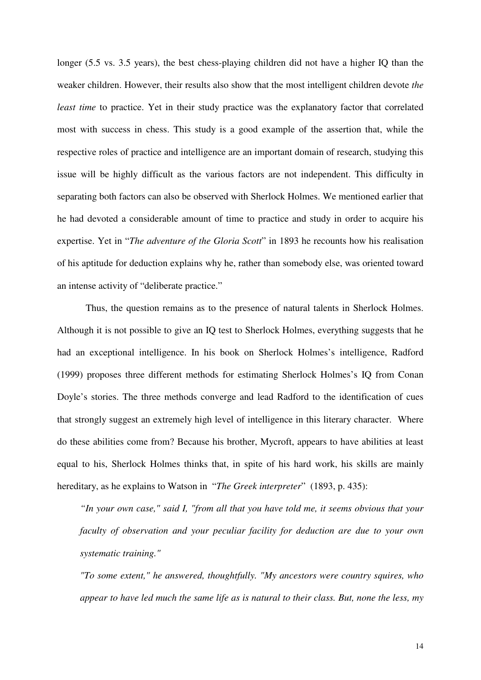longer (5.5 vs. 3.5 years), the best chess-playing children did not have a higher IQ than the weaker children. However, their results also show that the most intelligent children devote *the least time* to practice. Yet in their study practice was the explanatory factor that correlated most with success in chess. This study is a good example of the assertion that, while the respective roles of practice and intelligence are an important domain of research, studying this issue will be highly difficult as the various factors are not independent. This difficulty in separating both factors can also be observed with Sherlock Holmes. We mentioned earlier that he had devoted a considerable amount of time to practice and study in order to acquire his expertise. Yet in "*The adventure of the Gloria Scott*" in 1893 he recounts how his realisation of his aptitude for deduction explains why he, rather than somebody else, was oriented toward an intense activity of "deliberate practice."

Thus, the question remains as to the presence of natural talents in Sherlock Holmes. Although it is not possible to give an IQ test to Sherlock Holmes, everything suggests that he had an exceptional intelligence. In his book on Sherlock Holmes's intelligence, Radford (1999) proposes three different methods for estimating Sherlock Holmes's IQ from Conan Doyle's stories. The three methods converge and lead Radford to the identification of cues that strongly suggest an extremely high level of intelligence in this literary character. Where do these abilities come from? Because his brother, Mycroft, appears to have abilities at least equal to his, Sherlock Holmes thinks that, in spite of his hard work, his skills are mainly hereditary, as he explains to Watson in "*The Greek interpreter*" (1893, p. 435):

*"In your own case," said I, "from all that you have told me, it seems obvious that your faculty of observation and your peculiar facility for deduction are due to your own systematic training."* 

*"To some extent," he answered, thoughtfully. "My ancestors were country squires, who appear to have led much the same life as is natural to their class. But, none the less, my*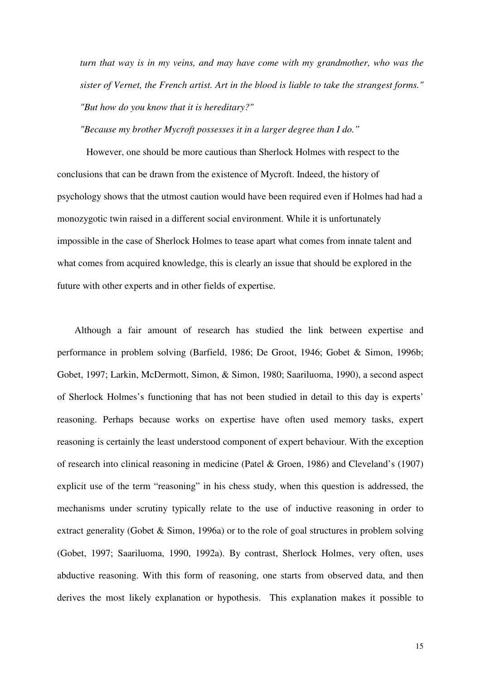*turn that way is in my veins, and may have come with my grandmother, who was the sister of Vernet, the French artist. Art in the blood is liable to take the strangest forms." "But how do you know that it is hereditary?"* 

*"Because my brother Mycroft possesses it in a larger degree than I do."* 

However, one should be more cautious than Sherlock Holmes with respect to the conclusions that can be drawn from the existence of Mycroft. Indeed, the history of psychology shows that the utmost caution would have been required even if Holmes had had a monozygotic twin raised in a different social environment. While it is unfortunately impossible in the case of Sherlock Holmes to tease apart what comes from innate talent and what comes from acquired knowledge, this is clearly an issue that should be explored in the future with other experts and in other fields of expertise.

 Although a fair amount of research has studied the link between expertise and performance in problem solving (Barfield, 1986; De Groot, 1946; Gobet & Simon, 1996b; Gobet, 1997; Larkin, McDermott, Simon, & Simon, 1980; Saariluoma, 1990), a second aspect of Sherlock Holmes's functioning that has not been studied in detail to this day is experts' reasoning. Perhaps because works on expertise have often used memory tasks, expert reasoning is certainly the least understood component of expert behaviour. With the exception of research into clinical reasoning in medicine (Patel & Groen, 1986) and Cleveland's (1907) explicit use of the term "reasoning" in his chess study, when this question is addressed, the mechanisms under scrutiny typically relate to the use of inductive reasoning in order to extract generality (Gobet & Simon, 1996a) or to the role of goal structures in problem solving (Gobet, 1997; Saariluoma, 1990, 1992a). By contrast, Sherlock Holmes, very often, uses abductive reasoning. With this form of reasoning, one starts from observed data, and then derives the most likely explanation or hypothesis. This explanation makes it possible to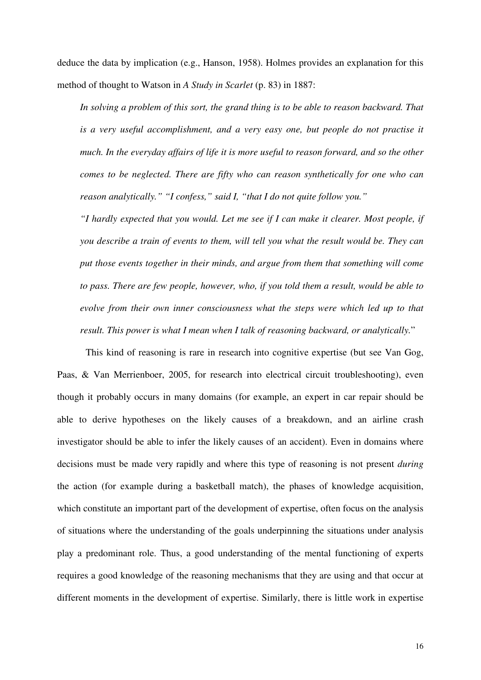deduce the data by implication (e.g., Hanson, 1958). Holmes provides an explanation for this method of thought to Watson in *A Study in Scarlet* (p. 83) in 1887:

*In solving a problem of this sort, the grand thing is to be able to reason backward. That is a very useful accomplishment, and a very easy one, but people do not practise it much. In the everyday affairs of life it is more useful to reason forward, and so the other comes to be neglected. There are fifty who can reason synthetically for one who can reason analytically." "I confess," said I, "that I do not quite follow you."* 

*"I hardly expected that you would. Let me see if I can make it clearer. Most people, if you describe a train of events to them, will tell you what the result would be. They can put those events together in their minds, and argue from them that something will come to pass. There are few people, however, who, if you told them a result, would be able to evolve from their own inner consciousness what the steps were which led up to that result. This power is what I mean when I talk of reasoning backward, or analytically.*"

 This kind of reasoning is rare in research into cognitive expertise (but see Van Gog, Paas, & Van Merrienboer, 2005, for research into electrical circuit troubleshooting), even though it probably occurs in many domains (for example, an expert in car repair should be able to derive hypotheses on the likely causes of a breakdown, and an airline crash investigator should be able to infer the likely causes of an accident). Even in domains where decisions must be made very rapidly and where this type of reasoning is not present *during* the action (for example during a basketball match), the phases of knowledge acquisition, which constitute an important part of the development of expertise, often focus on the analysis of situations where the understanding of the goals underpinning the situations under analysis play a predominant role. Thus, a good understanding of the mental functioning of experts requires a good knowledge of the reasoning mechanisms that they are using and that occur at different moments in the development of expertise. Similarly, there is little work in expertise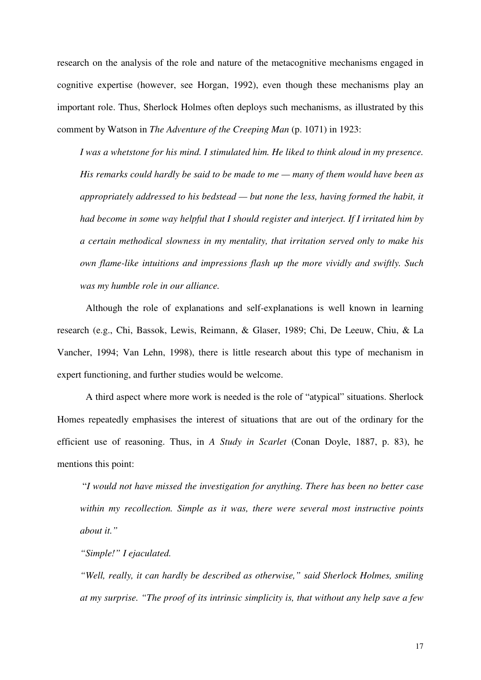research on the analysis of the role and nature of the metacognitive mechanisms engaged in cognitive expertise (however, see Horgan, 1992), even though these mechanisms play an important role. Thus, Sherlock Holmes often deploys such mechanisms, as illustrated by this comment by Watson in *The Adventure of the Creeping Man* (p. 1071) in 1923:

*I was a whetstone for his mind. I stimulated him. He liked to think aloud in my presence. His remarks could hardly be said to be made to me — many of them would have been as appropriately addressed to his bedstead — but none the less, having formed the habit, it had become in some way helpful that I should register and interject. If I irritated him by a certain methodical slowness in my mentality, that irritation served only to make his own flame-like intuitions and impressions flash up the more vividly and swiftly. Such was my humble role in our alliance.*

Although the role of explanations and self-explanations is well known in learning research (e.g., Chi, Bassok, Lewis, Reimann, & Glaser, 1989; Chi, De Leeuw, Chiu, & La Vancher, 1994; Van Lehn, 1998), there is little research about this type of mechanism in expert functioning, and further studies would be welcome.

A third aspect where more work is needed is the role of "atypical" situations. Sherlock Homes repeatedly emphasises the interest of situations that are out of the ordinary for the efficient use of reasoning. Thus, in *A Study in Scarlet* (Conan Doyle, 1887, p. 83), he mentions this point:

"*I would not have missed the investigation for anything. There has been no better case within my recollection. Simple as it was, there were several most instructive points about it."* 

*"Simple!" I ejaculated.* 

*"Well, really, it can hardly be described as otherwise," said Sherlock Holmes, smiling at my surprise. "The proof of its intrinsic simplicity is, that without any help save a few*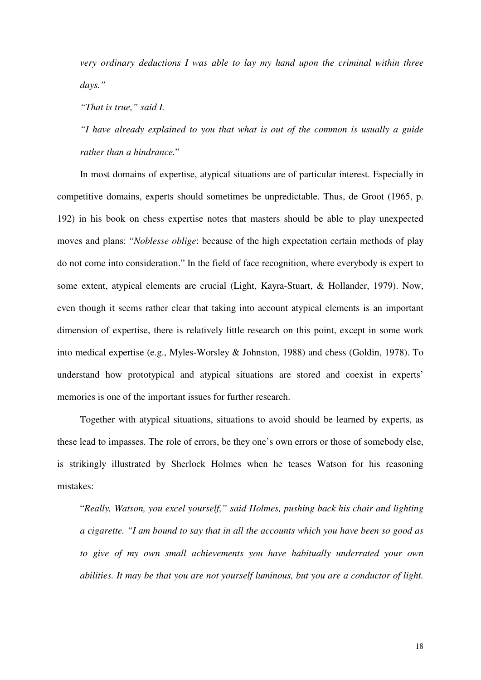*very ordinary deductions I was able to lay my hand upon the criminal within three days."* 

*"That is true," said I.* 

*"I have already explained to you that what is out of the common is usually a guide rather than a hindrance.*"

In most domains of expertise, atypical situations are of particular interest. Especially in competitive domains, experts should sometimes be unpredictable. Thus, de Groot (1965, p. 192) in his book on chess expertise notes that masters should be able to play unexpected moves and plans: "*Noblesse oblige*: because of the high expectation certain methods of play do not come into consideration." In the field of face recognition, where everybody is expert to some extent, atypical elements are crucial (Light, Kayra-Stuart, & Hollander, 1979). Now, even though it seems rather clear that taking into account atypical elements is an important dimension of expertise, there is relatively little research on this point, except in some work into medical expertise (e.g., Myles-Worsley & Johnston, 1988) and chess (Goldin, 1978). To understand how prototypical and atypical situations are stored and coexist in experts' memories is one of the important issues for further research.

Together with atypical situations, situations to avoid should be learned by experts, as these lead to impasses. The role of errors, be they one's own errors or those of somebody else, is strikingly illustrated by Sherlock Holmes when he teases Watson for his reasoning mistakes:

"*Really, Watson, you excel yourself," said Holmes, pushing back his chair and lighting a cigarette. "I am bound to say that in all the accounts which you have been so good as to give of my own small achievements you have habitually underrated your own abilities. It may be that you are not yourself luminous, but you are a conductor of light.*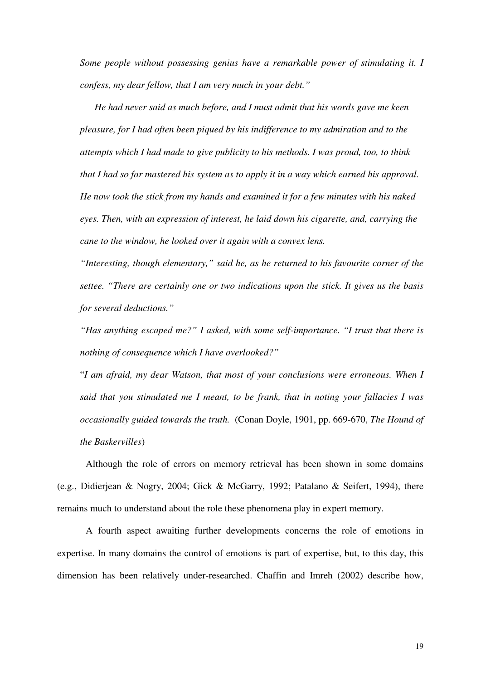*Some people without possessing genius have a remarkable power of stimulating it. I confess, my dear fellow, that I am very much in your debt."* 

*He had never said as much before, and I must admit that his words gave me keen pleasure, for I had often been piqued by his indifference to my admiration and to the attempts which I had made to give publicity to his methods. I was proud, too, to think that I had so far mastered his system as to apply it in a way which earned his approval. He now took the stick from my hands and examined it for a few minutes with his naked eyes. Then, with an expression of interest, he laid down his cigarette, and, carrying the cane to the window, he looked over it again with a convex lens.* 

*"Interesting, though elementary," said he, as he returned to his favourite corner of the settee. "There are certainly one or two indications upon the stick. It gives us the basis for several deductions."* 

*"Has anything escaped me?" I asked, with some self-importance. "I trust that there is nothing of consequence which I have overlooked?"* 

"*I am afraid, my dear Watson, that most of your conclusions were erroneous. When I said that you stimulated me I meant, to be frank, that in noting your fallacies I was occasionally guided towards the truth.* (Conan Doyle, 1901, pp. 669-670, *The Hound of the Baskervilles*)

Although the role of errors on memory retrieval has been shown in some domains (e.g., Didierjean & Nogry, 2004; Gick & McGarry, 1992; Patalano & Seifert, 1994), there remains much to understand about the role these phenomena play in expert memory.

A fourth aspect awaiting further developments concerns the role of emotions in expertise. In many domains the control of emotions is part of expertise, but, to this day, this dimension has been relatively under-researched. Chaffin and Imreh (2002) describe how,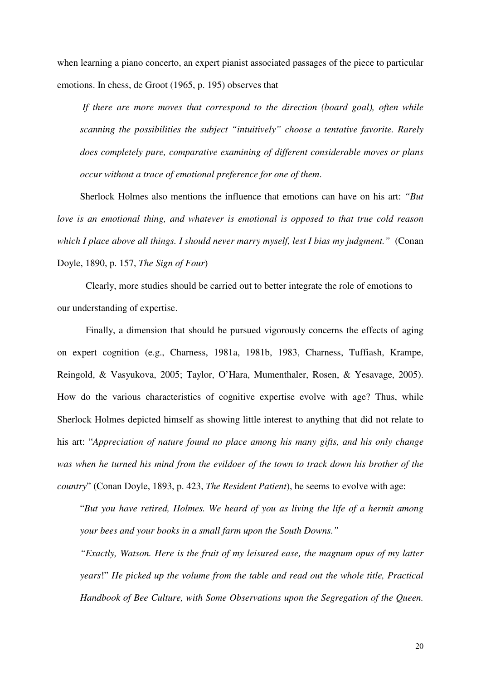when learning a piano concerto, an expert pianist associated passages of the piece to particular emotions. In chess, de Groot (1965, p. 195) observes that

 *If there are more moves that correspond to the direction (board goal), often while scanning the possibilities the subject "intuitively" choose a tentative favorite. Rarely does completely pure, comparative examining of different considerable moves or plans occur without a trace of emotional preference for one of them*.

Sherlock Holmes also mentions the influence that emotions can have on his art: *"But love is an emotional thing, and whatever is emotional is opposed to that true cold reason which I place above all things. I should never marry myself, lest I bias my judgment."* (Conan Doyle, 1890, p. 157, *The Sign of Four*)

Clearly, more studies should be carried out to better integrate the role of emotions to our understanding of expertise.

Finally, a dimension that should be pursued vigorously concerns the effects of aging on expert cognition (e.g., Charness, 1981a, 1981b, 1983, Charness, Tuffiash, Krampe, Reingold, & Vasyukova, 2005; Taylor, O'Hara, Mumenthaler, Rosen, & Yesavage, 2005). How do the various characteristics of cognitive expertise evolve with age? Thus, while Sherlock Holmes depicted himself as showing little interest to anything that did not relate to his art: "*Appreciation of nature found no place among his many gifts, and his only change was when he turned his mind from the evildoer of the town to track down his brother of the country*" (Conan Doyle, 1893, p. 423, *The Resident Patient*), he seems to evolve with age:

"*But you have retired, Holmes. We heard of you as living the life of a hermit among your bees and your books in a small farm upon the South Downs."* 

*"Exactly, Watson. Here is the fruit of my leisured ease, the magnum opus of my latter years*!" *He picked up the volume from the table and read out the whole title, Practical Handbook of Bee Culture, with Some Observations upon the Segregation of the Queen.*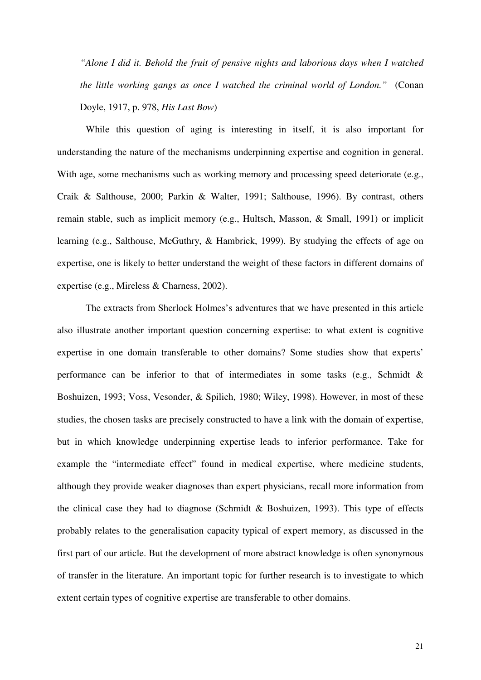*"Alone I did it. Behold the fruit of pensive nights and laborious days when I watched the little working gangs as once I watched the criminal world of London."* (Conan Doyle, 1917, p. 978, *His Last Bow*)

 While this question of aging is interesting in itself, it is also important for understanding the nature of the mechanisms underpinning expertise and cognition in general. With age, some mechanisms such as working memory and processing speed deteriorate (e.g., Craik & Salthouse, 2000; Parkin & Walter, 1991; Salthouse, 1996). By contrast, others remain stable, such as implicit memory (e.g., Hultsch, Masson, & Small, 1991) or implicit learning (e.g., Salthouse, McGuthry, & Hambrick, 1999). By studying the effects of age on expertise, one is likely to better understand the weight of these factors in different domains of expertise (e.g., Mireless & Charness, 2002).

 The extracts from Sherlock Holmes's adventures that we have presented in this article also illustrate another important question concerning expertise: to what extent is cognitive expertise in one domain transferable to other domains? Some studies show that experts' performance can be inferior to that of intermediates in some tasks (e.g., Schmidt & Boshuizen, 1993; Voss, Vesonder, & Spilich, 1980; Wiley, 1998). However, in most of these studies, the chosen tasks are precisely constructed to have a link with the domain of expertise, but in which knowledge underpinning expertise leads to inferior performance. Take for example the "intermediate effect" found in medical expertise, where medicine students, although they provide weaker diagnoses than expert physicians, recall more information from the clinical case they had to diagnose (Schmidt  $&$  Boshuizen, 1993). This type of effects probably relates to the generalisation capacity typical of expert memory, as discussed in the first part of our article. But the development of more abstract knowledge is often synonymous of transfer in the literature. An important topic for further research is to investigate to which extent certain types of cognitive expertise are transferable to other domains.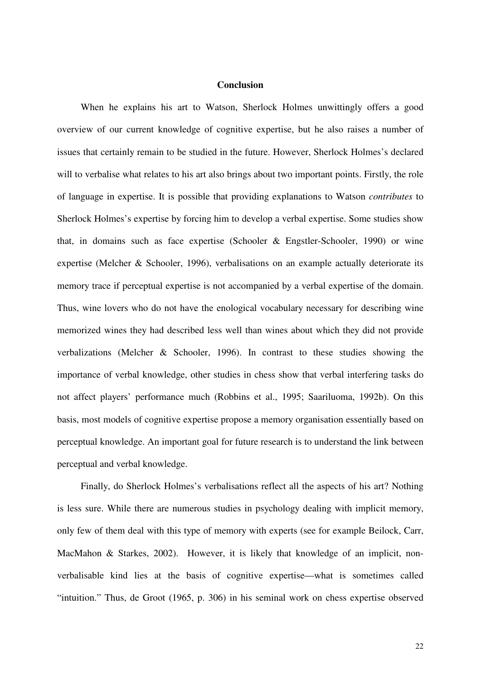## **Conclusion**

 When he explains his art to Watson, Sherlock Holmes unwittingly offers a good overview of our current knowledge of cognitive expertise, but he also raises a number of issues that certainly remain to be studied in the future. However, Sherlock Holmes's declared will to verbalise what relates to his art also brings about two important points. Firstly, the role of language in expertise. It is possible that providing explanations to Watson *contributes* to Sherlock Holmes's expertise by forcing him to develop a verbal expertise. Some studies show that, in domains such as face expertise (Schooler & Engstler-Schooler, 1990) or wine expertise (Melcher & Schooler, 1996), verbalisations on an example actually deteriorate its memory trace if perceptual expertise is not accompanied by a verbal expertise of the domain. Thus, wine lovers who do not have the enological vocabulary necessary for describing wine memorized wines they had described less well than wines about which they did not provide verbalizations (Melcher & Schooler, 1996). In contrast to these studies showing the importance of verbal knowledge, other studies in chess show that verbal interfering tasks do not affect players' performance much (Robbins et al., 1995; Saariluoma, 1992b). On this basis, most models of cognitive expertise propose a memory organisation essentially based on perceptual knowledge. An important goal for future research is to understand the link between perceptual and verbal knowledge.

 Finally, do Sherlock Holmes's verbalisations reflect all the aspects of his art? Nothing is less sure. While there are numerous studies in psychology dealing with implicit memory, only few of them deal with this type of memory with experts (see for example Beilock, Carr, MacMahon & Starkes, 2002). However, it is likely that knowledge of an implicit, nonverbalisable kind lies at the basis of cognitive expertise—what is sometimes called "intuition." Thus, de Groot (1965, p. 306) in his seminal work on chess expertise observed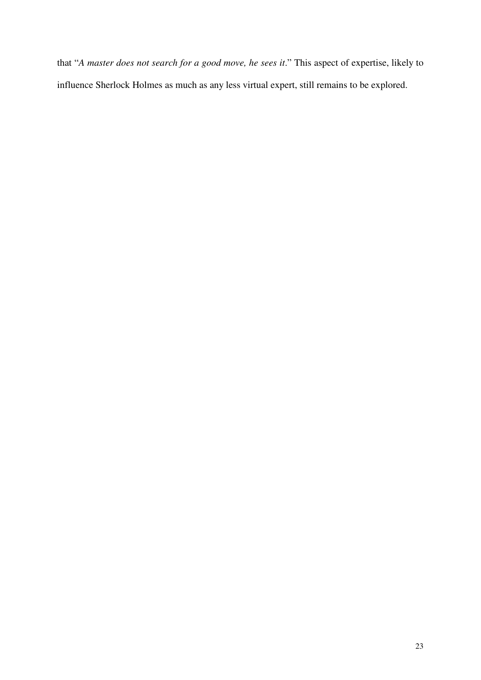that "*A master does not search for a good move, he sees it*." This aspect of expertise, likely to influence Sherlock Holmes as much as any less virtual expert, still remains to be explored.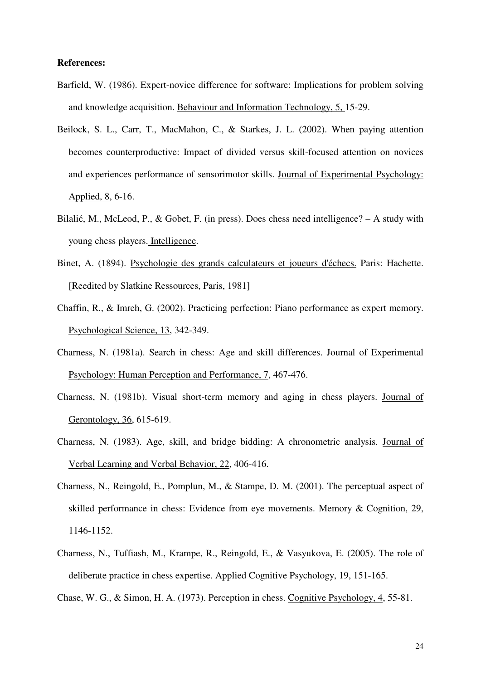## **References:**

- Barfield, W. (1986). Expert-novice difference for software: Implications for problem solving and knowledge acquisition. Behaviour and Information Technology, 5, 15-29.
- Beilock, S. L., Carr, T., MacMahon, C., & Starkes, J. L. (2002). When paying attention becomes counterproductive: Impact of divided versus skill-focused attention on novices and experiences performance of sensorimotor skills. Journal of Experimental Psychology: Applied, 8, 6-16.
- Bilalić, M., McLeod, P., & Gobet, F. (in press). Does chess need intelligence? A study with young chess players. Intelligence.
- Binet, A. (1894). Psychologie des grands calculateurs et joueurs d'échecs. Paris: Hachette. [Reedited by Slatkine Ressources, Paris, 1981]
- Chaffin, R., & Imreh, G. (2002). Practicing perfection: Piano performance as expert memory. Psychological Science, 13, 342-349.
- Charness, N. (1981a). Search in chess: Age and skill differences. Journal of Experimental Psychology: Human Perception and Performance, 7, 467-476.
- Charness, N. (1981b). Visual short-term memory and aging in chess players. Journal of Gerontology, 36, 615-619.
- Charness, N. (1983). Age, skill, and bridge bidding: A chronometric analysis. Journal of Verbal Learning and Verbal Behavior, 22, 406-416.
- Charness, N., Reingold, E., Pomplun, M., & Stampe, D. M. (2001). The perceptual aspect of skilled performance in chess: Evidence from eye movements. Memory & Cognition, 29, 1146-1152.
- Charness, N., Tuffiash, M., Krampe, R., Reingold, E., & Vasyukova, E. (2005). The role of deliberate practice in chess expertise. Applied Cognitive Psychology, 19, 151-165.
- Chase, W. G., & Simon, H. A. (1973). Perception in chess. Cognitive Psychology, 4, 55-81.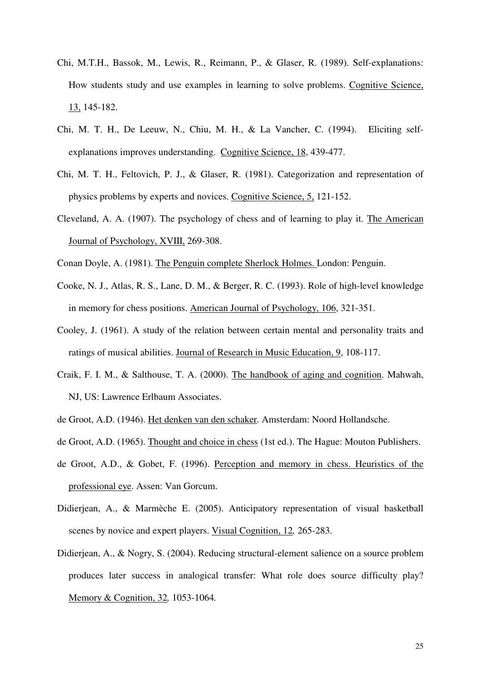- Chi, M.T.H., Bassok, M., Lewis, R., Reimann, P., & Glaser, R. (1989). Self-explanations: How students study and use examples in learning to solve problems. Cognitive Science, 13, 145-182.
- Chi, M. T. H., De Leeuw, N., Chiu, M. H., & La Vancher, C. (1994). Eliciting selfexplanations improves understanding. Cognitive Science, 18, 439-477.
- Chi, M. T. H., Feltovich, P. J., & Glaser, R. (1981). Categorization and representation of physics problems by experts and novices. Cognitive Science, 5, 121-152.
- Cleveland, A. A. (1907). The psychology of chess and of learning to play it. The American Journal of Psychology, XVIII, 269-308.
- Conan Doyle, A. (1981). The Penguin complete Sherlock Holmes. London: Penguin.
- Cooke, N. J., Atlas, R. S., Lane, D. M., & Berger, R. C. (1993). Role of high-level knowledge in memory for chess positions. American Journal of Psychology, 106, 321-351.
- Cooley, J. (1961). A study of the relation between certain mental and personality traits and ratings of musical abilities. Journal of Research in Music Education, 9, 108-117.
- Craik, F. I. M., & Salthouse, T. A. (2000). The handbook of aging and cognition. Mahwah, NJ, US: Lawrence Erlbaum Associates.
- de Groot, A.D. (1946). Het denken van den schaker. Amsterdam: Noord Hollandsche.
- de Groot, A.D. (1965). Thought and choice in chess (1st ed.). The Hague: Mouton Publishers.
- de Groot, A.D., & Gobet, F. (1996). Perception and memory in chess. Heuristics of the professional eye. Assen: Van Gorcum.
- Didierjean, A., & Marmèche E. (2005). Anticipatory representation of visual basketball scenes by novice and expert players. Visual Cognition, 12*,* 265-283.
- Didierjean, A., & Nogry, S. (2004). Reducing structural-element salience on a source problem produces later success in analogical transfer: What role does source difficulty play? Memory & Cognition, 32*,* 1053-1064*.*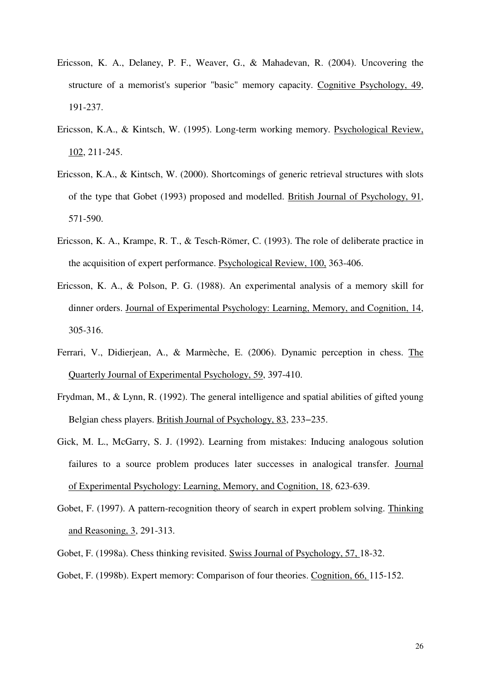- Ericsson, K. A., Delaney, P. F., Weaver, G., & Mahadevan, R. (2004). Uncovering the structure of a memorist's superior "basic" memory capacity. Cognitive Psychology, 49, 191-237.
- Ericsson, K.A., & Kintsch, W. (1995). Long-term working memory. Psychological Review, 102, 211-245.
- Ericsson, K.A., & Kintsch, W. (2000). Shortcomings of generic retrieval structures with slots of the type that Gobet (1993) proposed and modelled. British Journal of Psychology, 91, 571-590.
- Ericsson, K. A., Krampe, R. T., & Tesch-Römer, C. (1993). The role of deliberate practice in the acquisition of expert performance. Psychological Review, 100, 363-406.
- Ericsson, K. A., & Polson, P. G. (1988). An experimental analysis of a memory skill for dinner orders. Journal of Experimental Psychology: Learning, Memory, and Cognition, 14, 305-316.
- Ferrari, V., Didierjean, A., & Marmèche, E. (2006). Dynamic perception in chess. The Quarterly Journal of Experimental Psychology, 59, 397-410.
- Frydman, M., & Lynn, R. (1992). The general intelligence and spatial abilities of gifted young Belgian chess players. British Journal of Psychology, 83, 233−235.
- Gick, M. L., McGarry, S. J. (1992). Learning from mistakes: Inducing analogous solution failures to a source problem produces later successes in analogical transfer. Journal of Experimental Psychology: Learning, Memory, and Cognition, 18, 623-639.
- Gobet, F. (1997). A pattern-recognition theory of search in expert problem solving. Thinking and Reasoning, 3, 291-313.

Gobet, F. (1998a). Chess thinking revisited. Swiss Journal of Psychology, 57, 18-32.

Gobet, F. (1998b). Expert memory: Comparison of four theories. Cognition, 66, 115-152.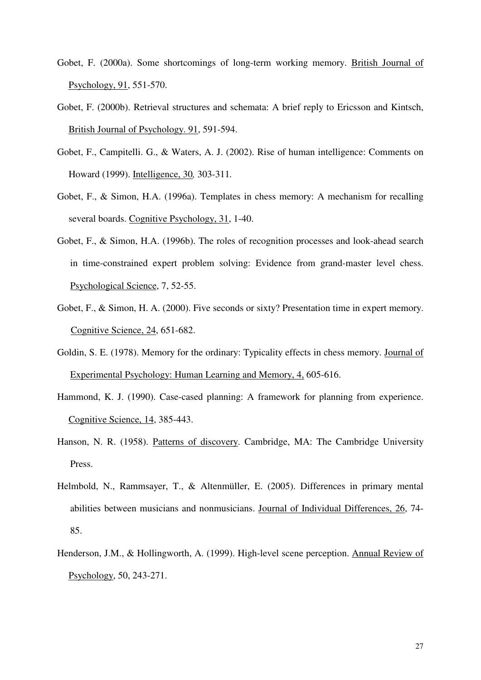- Gobet, F. (2000a). Some shortcomings of long-term working memory. British Journal of Psychology, 91, 551-570.
- Gobet, F. (2000b). Retrieval structures and schemata: A brief reply to Ericsson and Kintsch, British Journal of Psychology. 91, 591-594.
- Gobet, F., Campitelli. G., & Waters, A. J. (2002). Rise of human intelligence: Comments on Howard (1999). Intelligence, 30*,* 303-311*.*
- Gobet, F., & Simon, H.A. (1996a). Templates in chess memory: A mechanism for recalling several boards. Cognitive Psychology, 31, 1-40.
- Gobet, F., & Simon, H.A. (1996b). The roles of recognition processes and look-ahead search in time-constrained expert problem solving: Evidence from grand-master level chess. Psychological Science, 7, 52-55.
- Gobet, F., & Simon, H. A. (2000). Five seconds or sixty? Presentation time in expert memory. Cognitive Science, 24, 651-682.
- Goldin, S. E. (1978). Memory for the ordinary: Typicality effects in chess memory. Journal of Experimental Psychology: Human Learning and Memory, 4, 605-616.
- Hammond, K. J. (1990). Case-cased planning: A framework for planning from experience. Cognitive Science, 14, 385-443.
- Hanson, N. R. (1958). Patterns of discovery. Cambridge, MA: The Cambridge University Press.
- Helmbold, N., Rammsayer, T., & Altenmüller, E. (2005). Differences in primary mental abilities between musicians and nonmusicians. Journal of Individual Differences, 26, 74- 85.
- Henderson, J.M., & Hollingworth, A. (1999). High-level scene perception. Annual Review of Psychology, 50, 243-271.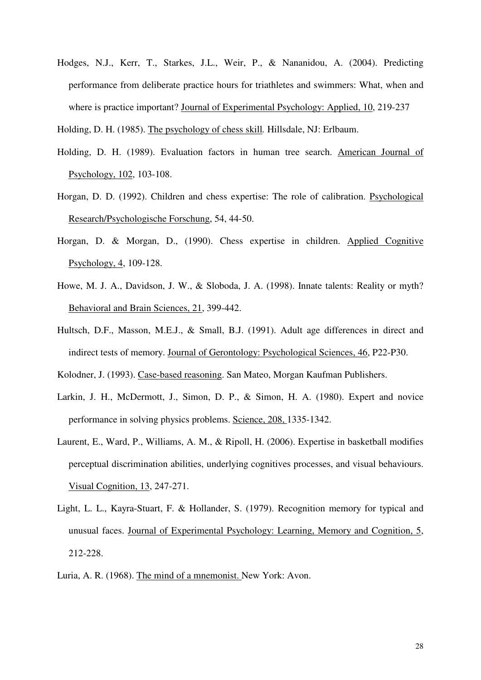Hodges, N.J., Kerr, T., Starkes, J.L., Weir, P., & Nananidou, A. (2004). Predicting performance from deliberate practice hours for triathletes and swimmers: What, when and where is practice important? Journal of Experimental Psychology: Applied, 10, 219-237

Holding, D. H. (1985). The psychology of chess skill*.* Hillsdale, NJ: Erlbaum.

- Holding, D. H. (1989). Evaluation factors in human tree search. American Journal of Psychology, 102, 103-108.
- Horgan, D. D. (1992). Children and chess expertise: The role of calibration. Psychological Research/Psychologische Forschung, 54, 44-50.
- Horgan, D. & Morgan, D., (1990). Chess expertise in children. Applied Cognitive Psychology, 4, 109-128.
- Howe, M. J. A., Davidson, J. W., & Sloboda, J. A. (1998). Innate talents: Reality or myth? Behavioral and Brain Sciences, 21, 399-442.
- Hultsch, D.F., Masson, M.E.J., & Small, B.J. (1991). Adult age differences in direct and indirect tests of memory. Journal of Gerontology: Psychological Sciences, 46, P22-P30.

Kolodner, J. (1993). Case-based reasoning. San Mateo, Morgan Kaufman Publishers.

- Larkin, J. H., McDermott, J., Simon, D. P., & Simon, H. A. (1980). Expert and novice performance in solving physics problems. Science, 208, 1335-1342.
- Laurent, E., Ward, P., Williams, A. M., & Ripoll, H. (2006). Expertise in basketball modifies perceptual discrimination abilities, underlying cognitives processes, and visual behaviours. Visual Cognition, 13, 247-271.
- Light, L. L., Kayra-Stuart, F. & Hollander, S. (1979). Recognition memory for typical and unusual faces. Journal of Experimental Psychology: Learning, Memory and Cognition, 5, 212-228.

Luria, A. R. (1968). The mind of a mnemonist. New York: Avon.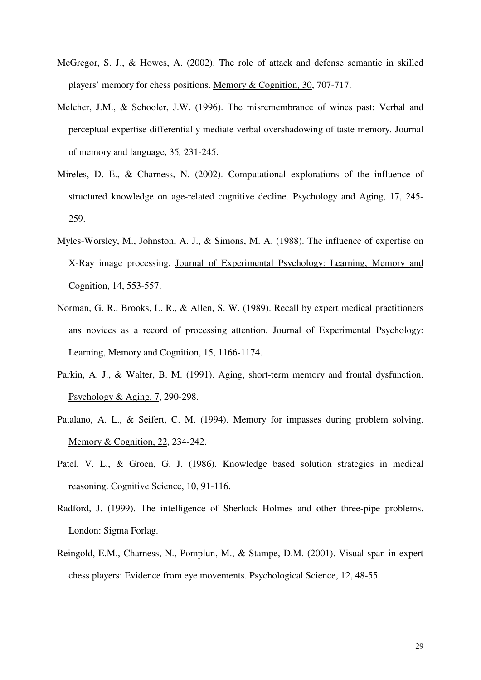- McGregor, S. J., & Howes, A. (2002). The role of attack and defense semantic in skilled players' memory for chess positions. Memory & Cognition, 30, 707-717.
- Melcher, J.M., & Schooler, J.W. (1996). The misremembrance of wines past: Verbal and perceptual expertise differentially mediate verbal overshadowing of taste memory. Journal of memory and language, 35*,* 231-245.
- Mireles, D. E., & Charness, N. (2002). Computational explorations of the influence of structured knowledge on age-related cognitive decline. Psychology and Aging, 17, 245- 259.
- Myles-Worsley, M., Johnston, A. J., & Simons, M. A. (1988). The influence of expertise on X-Ray image processing. Journal of Experimental Psychology: Learning, Memory and Cognition, 14, 553-557.
- Norman, G. R., Brooks, L. R., & Allen, S. W. (1989). Recall by expert medical practitioners ans novices as a record of processing attention. Journal of Experimental Psychology: Learning, Memory and Cognition, 15, 1166-1174.
- Parkin, A. J., & Walter, B. M. (1991). Aging, short-term memory and frontal dysfunction. Psychology & Aging, 7, 290-298.
- Patalano, A. L., & Seifert, C. M. (1994). Memory for impasses during problem solving. Memory & Cognition, 22, 234-242.
- Patel, V. L., & Groen, G. J. (1986). Knowledge based solution strategies in medical reasoning. Cognitive Science, 10, 91-116.
- Radford, J. (1999). The intelligence of Sherlock Holmes and other three-pipe problems. London: Sigma Forlag.
- Reingold, E.M., Charness, N., Pomplun, M., & Stampe, D.M. (2001). Visual span in expert chess players: Evidence from eye movements. Psychological Science, 12, 48-55.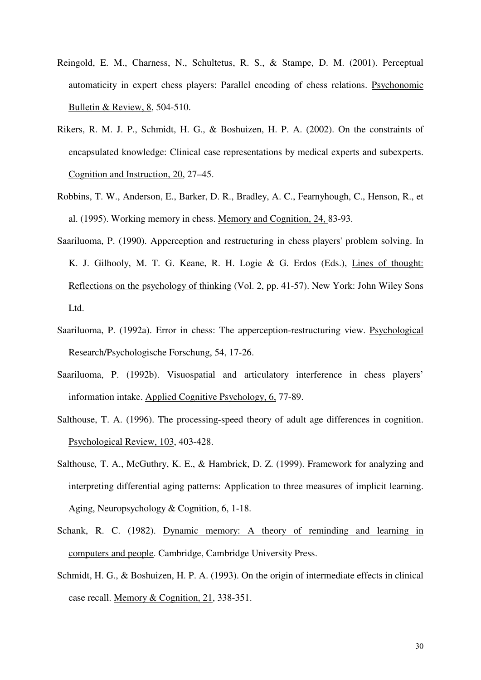- Reingold, E. M., Charness, N., Schultetus, R. S., & Stampe, D. M. (2001). Perceptual automaticity in expert chess players: Parallel encoding of chess relations. Psychonomic Bulletin & Review, 8, 504-510.
- Rikers, R. M. J. P., Schmidt, H. G., & Boshuizen, H. P. A. (2002). On the constraints of encapsulated knowledge: Clinical case representations by medical experts and subexperts. Cognition and Instruction, 20, 27–45.
- Robbins, T. W., Anderson, E., Barker, D. R., Bradley, A. C., Fearnyhough, C., Henson, R., et al. (1995). Working memory in chess. Memory and Cognition, 24, 83-93.
- Saariluoma, P. (1990). Apperception and restructuring in chess players' problem solving. In K. J. Gilhooly, M. T. G. Keane, R. H. Logie & G. Erdos (Eds.), Lines of thought: Reflections on the psychology of thinking (Vol. 2, pp. 41-57). New York: John Wiley Sons Ltd.
- Saariluoma, P. (1992a). Error in chess: The apperception-restructuring view. Psychological Research/Psychologische Forschung, 54, 17-26.
- Saariluoma, P. (1992b). Visuospatial and articulatory interference in chess players' information intake. Applied Cognitive Psychology, 6, 77-89.
- Salthouse, T. A. (1996). The processing-speed theory of adult age differences in cognition. Psychological Review, 103, 403-428.
- Salthouse*,* T. A., McGuthry, K. E., & Hambrick, D. Z. (1999). Framework for analyzing and interpreting differential aging patterns: Application to three measures of implicit learning. Aging, Neuropsychology & Cognition, 6, 1-18.
- Schank, R. C. (1982). Dynamic memory: A theory of reminding and learning in computers and people. Cambridge, Cambridge University Press.
- Schmidt, H. G., & Boshuizen, H. P. A. (1993). On the origin of intermediate effects in clinical case recall. Memory & Cognition, 21, 338-351.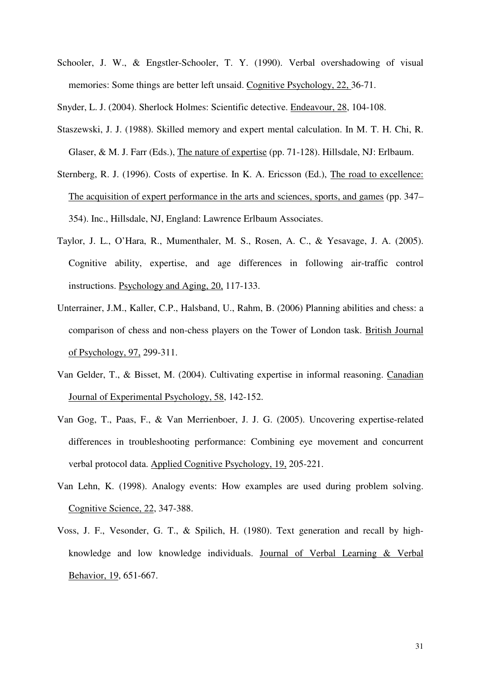Schooler, J. W., & Engstler-Schooler, T. Y. (1990). Verbal overshadowing of visual memories: Some things are better left unsaid. Cognitive Psychology, 22, 36-71.

Snyder, L. J. (2004). Sherlock Holmes: Scientific detective. Endeavour, 28, 104-108.

- Staszewski, J. J. (1988). Skilled memory and expert mental calculation. In M. T. H. Chi, R. Glaser, & M. J. Farr (Eds.), The nature of expertise (pp. 71-128). Hillsdale, NJ: Erlbaum.
- Sternberg, R. J. (1996). Costs of expertise. In K. A. Ericsson (Ed.), The road to excellence: The acquisition of expert performance in the arts and sciences, sports, and games (pp. 347– 354). Inc., Hillsdale, NJ, England: Lawrence Erlbaum Associates.
- Taylor, J. L., O'Hara, R., Mumenthaler, M. S., Rosen, A. C., & Yesavage, J. A. (2005). Cognitive ability, expertise, and age differences in following air-traffic control instructions. Psychology and Aging, 20, 117-133.
- Unterrainer, J.M., Kaller, C.P., Halsband, U., Rahm, B. (2006) Planning abilities and chess: a comparison of chess and non-chess players on the Tower of London task. British Journal of Psychology, 97, 299-311.
- Van Gelder, T., & Bisset, M. (2004). Cultivating expertise in informal reasoning. Canadian Journal of Experimental Psychology, 58, 142-152.
- Van Gog, T., Paas, F., & Van Merrienboer, J. J. G. (2005). Uncovering expertise-related differences in troubleshooting performance: Combining eye movement and concurrent verbal protocol data. Applied Cognitive Psychology, 19, 205-221.
- Van Lehn, K. (1998). Analogy events: How examples are used during problem solving. Cognitive Science, 22, 347-388.
- Voss, J. F., Vesonder, G. T., & Spilich, H. (1980). Text generation and recall by highknowledge and low knowledge individuals. Journal of Verbal Learning & Verbal Behavior, 19, 651-667.